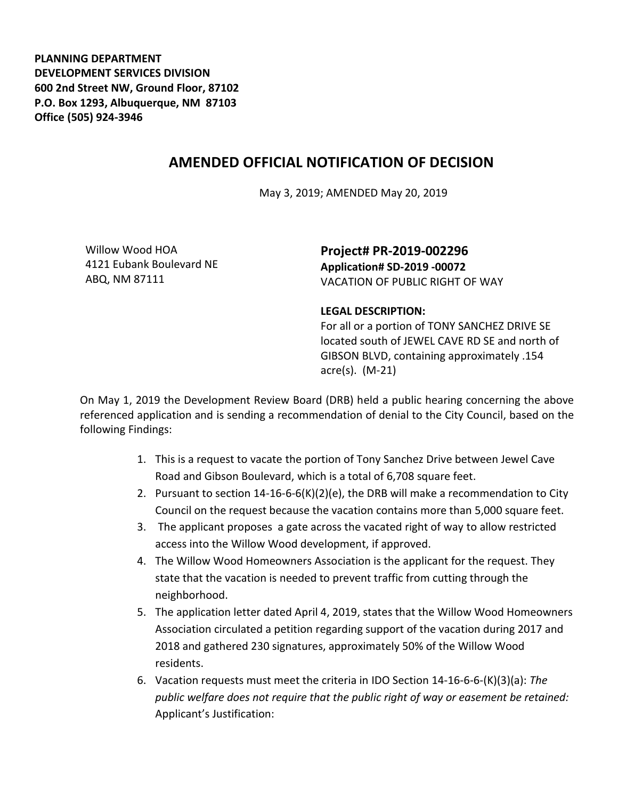**PLANNING DEPARTMENT DEVELOPMENT SERVICES DIVISION 600 2nd Street NW, Ground Floor, 87102 P.O. Box 1293, Albuquerque, NM 87103 Office (505) 924-3946** 

## **AMENDED OFFICIAL NOTIFICATION OF DECISION**

May 3, 2019; AMENDED May 20, 2019

Willow Wood HOA 4121 Eubank Boulevard NE ABQ, NM 87111

**Project# PR-2019-002296 Application# SD-2019 -00072** VACATION OF PUBLIC RIGHT OF WAY

## **LEGAL DESCRIPTION:**

For all or a portion of TONY SANCHEZ DRIVE SE located south of JEWEL CAVE RD SE and north of GIBSON BLVD, containing approximately .154 acre(s). (M-21)

On May 1, 2019 the Development Review Board (DRB) held a public hearing concerning the above referenced application and is sending a recommendation of denial to the City Council, based on the following Findings:

- 1. This is a request to vacate the portion of Tony Sanchez Drive between Jewel Cave Road and Gibson Boulevard, which is a total of 6,708 square feet.
- 2. Pursuant to section 14-16-6-6(K)(2)(e), the DRB will make a recommendation to City Council on the request because the vacation contains more than 5,000 square feet.
- 3. The applicant proposes a gate across the vacated right of way to allow restricted access into the Willow Wood development, if approved.
- 4. The Willow Wood Homeowners Association is the applicant for the request. They state that the vacation is needed to prevent traffic from cutting through the neighborhood.
- 5. The application letter dated April 4, 2019, states that the Willow Wood Homeowners Association circulated a petition regarding support of the vacation during 2017 and 2018 and gathered 230 signatures, approximately 50% of the Willow Wood residents.
- 6. Vacation requests must meet the criteria in IDO Section 14-16-6-6-(K)(3)(a): *The public welfare does not require that the public right of way or easement be retained:* Applicant's Justification: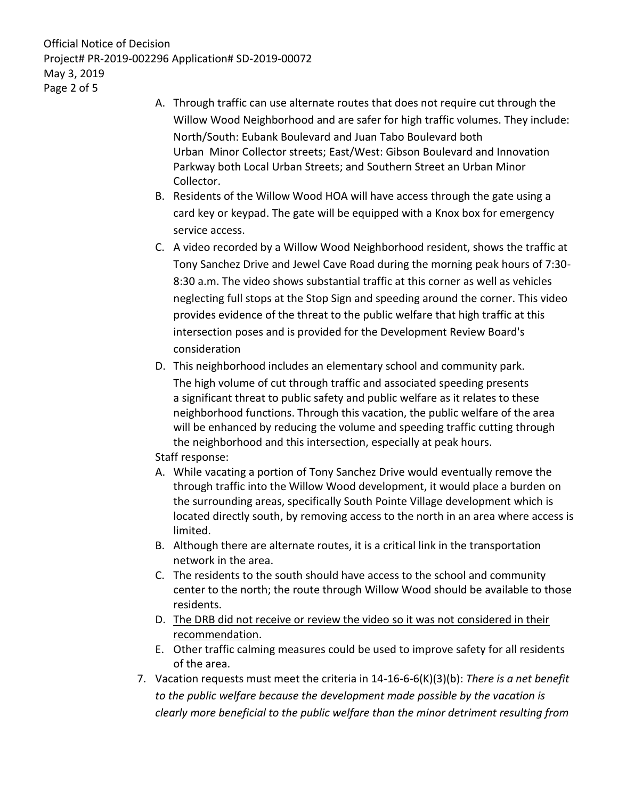Official Notice of Decision Project# PR-2019-002296 Application# SD-2019-00072 May 3, 2019 Page 2 of 5

- A. Through traffic can use alternate routes that does not require cut through the Willow Wood Neighborhood and are safer for high traffic volumes. They include: North/South: Eubank Boulevard and Juan Tabo Boulevard both Urban Minor Collector streets; East/West: Gibson Boulevard and Innovation Parkway both Local Urban Streets; and Southern Street an Urban Minor Collector.
- B. Residents of the Willow Wood HOA will have access through the gate using a card key or keypad. The gate will be equipped with a Knox box for emergency service access.
- C. A video recorded by a Willow Wood Neighborhood resident, shows the traffic at Tony Sanchez Drive and Jewel Cave Road during the morning peak hours of 7:30- 8:30 a.m. The video shows substantial traffic at this corner as well as vehicles neglecting full stops at the Stop Sign and speeding around the corner. This video provides evidence of the threat to the public welfare that high traffic at this intersection poses and is provided for the Development Review Board's consideration
- D. This neighborhood includes an elementary school and community park. The high volume of cut through traffic and associated speeding presents a significant threat to public safety and public welfare as it relates to these neighborhood functions. Through this vacation, the public welfare of the area will be enhanced by reducing the volume and speeding traffic cutting through the neighborhood and this intersection, especially at peak hours. Staff response:
- A. While vacating a portion of Tony Sanchez Drive would eventually remove the through traffic into the Willow Wood development, it would place a burden on the surrounding areas, specifically South Pointe Village development which is located directly south, by removing access to the north in an area where access is limited.
- B. Although there are alternate routes, it is a critical link in the transportation network in the area.
- C. The residents to the south should have access to the school and community center to the north; the route through Willow Wood should be available to those residents.
- D. The DRB did not receive or review the video so it was not considered in their recommendation.
- E. Other traffic calming measures could be used to improve safety for all residents of the area.
- 7. Vacation requests must meet the criteria in 14-16-6-6(K)(3)(b): *There is a net benefit to the public welfare because the development made possible by the vacation is clearly more beneficial to the public welfare than the minor detriment resulting from*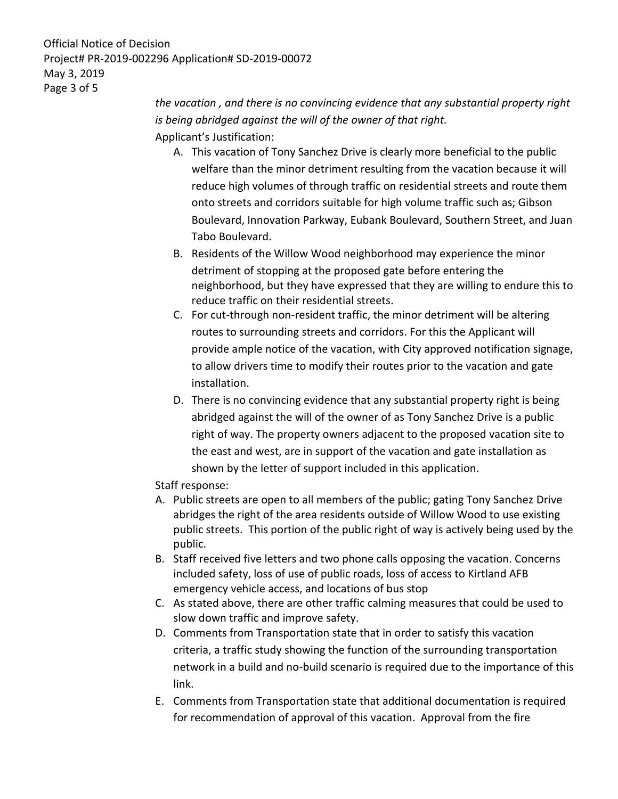Official Notice of Decision Project# PR-2019-002296 Application# SD-2019-00072 May 3, 2019 Page 3 of 5

*the vacation , and there is no convincing evidence that any substantial property right is being abridged against the will of the owner of that right.* Applicant's Justification:

- A. This vacation of Tony Sanchez Drive is clearly more beneficial to the public welfare than the minor detriment resulting from the vacation because it will reduce high volumes of through traffic on residential streets and route them onto streets and corridors suitable for high volume traffic such as; Gibson Boulevard, Innovation Parkway, Eubank Boulevard, Southern Street, and Juan Tabo Boulevard.
- B. Residents of the Willow Wood neighborhood may experience the minor detriment of stopping at the proposed gate before entering the neighborhood, but they have expressed that they are willing to endure this to reduce traffic on their residential streets.
- C. For cut-through non-resident traffic, the minor detriment will be altering routes to surrounding streets and corridors. For this the Applicant will provide ample notice of the vacation, with City approved notification signage, to allow drivers time to modify their routes prior to the vacation and gate installation.
- D. There is no convincing evidence that any substantial property right is being abridged against the will of the owner of as Tony Sanchez Drive is a public right of way. The property owners adjacent to the proposed vacation site to the east and west, are in support of the vacation and gate installation as shown by the letter of support included in this application.

Staff response:

- A. Public streets are open to all members of the public; gating Tony Sanchez Drive abridges the right of the area residents outside of Willow Wood to use existing public streets. This portion of the public right of way is actively being used by the public.
- B. Staff received five letters and two phone calls opposing the vacation. Concerns included safety, loss of use of public roads, loss of access to Kirtland AFB emergency vehicle access, and locations of bus stop
- C. As stated above, there are other traffic calming measures that could be used to slow down traffic and improve safety.
- D. Comments from Transportation state that in order to satisfy this vacation criteria, a traffic study showing the function of the surrounding transportation network in a build and no-build scenario is required due to the importance of this link.
- E. Comments from Transportation state that additional documentation is required for recommendation of approval of this vacation. Approval from the fire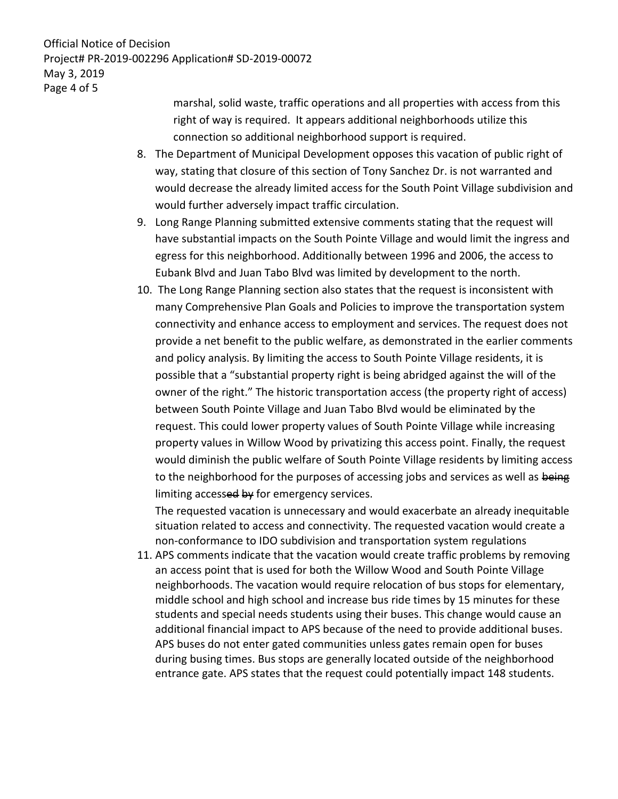Official Notice of Decision Project# PR-2019-002296 Application# SD-2019-00072 May 3, 2019 Page 4 of 5

marshal, solid waste, traffic operations and all properties with access from this right of way is required. It appears additional neighborhoods utilize this connection so additional neighborhood support is required.

- 8. The Department of Municipal Development opposes this vacation of public right of way, stating that closure of this section of Tony Sanchez Dr. is not warranted and would decrease the already limited access for the South Point Village subdivision and would further adversely impact traffic circulation.
- 9. Long Range Planning submitted extensive comments stating that the request will have substantial impacts on the South Pointe Village and would limit the ingress and egress for this neighborhood. Additionally between 1996 and 2006, the access to Eubank Blvd and Juan Tabo Blvd was limited by development to the north.
- 10. The Long Range Planning section also states that the request is inconsistent with many Comprehensive Plan Goals and Policies to improve the transportation system connectivity and enhance access to employment and services. The request does not provide a net benefit to the public welfare, as demonstrated in the earlier comments and policy analysis. By limiting the access to South Pointe Village residents, it is possible that a "substantial property right is being abridged against the will of the owner of the right." The historic transportation access (the property right of access) between South Pointe Village and Juan Tabo Blvd would be eliminated by the request. This could lower property values of South Pointe Village while increasing property values in Willow Wood by privatizing this access point. Finally, the request would diminish the public welfare of South Pointe Village residents by limiting access to the neighborhood for the purposes of accessing jobs and services as well as being limiting accessed by for emergency services.

The requested vacation is unnecessary and would exacerbate an already inequitable situation related to access and connectivity. The requested vacation would create a non-conformance to IDO subdivision and transportation system regulations

11. APS comments indicate that the vacation would create traffic problems by removing an access point that is used for both the Willow Wood and South Pointe Village neighborhoods. The vacation would require relocation of bus stops for elementary, middle school and high school and increase bus ride times by 15 minutes for these students and special needs students using their buses. This change would cause an additional financial impact to APS because of the need to provide additional buses. APS buses do not enter gated communities unless gates remain open for buses during busing times. Bus stops are generally located outside of the neighborhood entrance gate. APS states that the request could potentially impact 148 students.